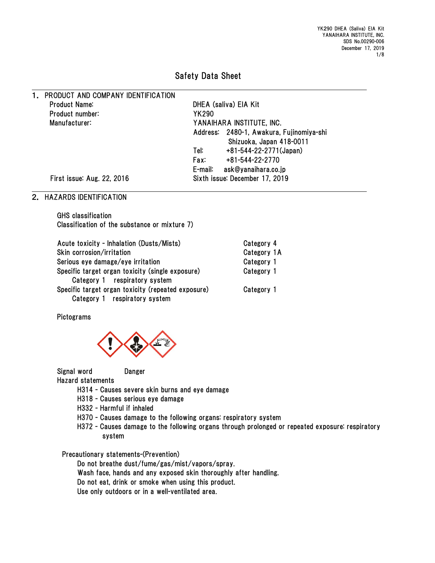YK290 DHEA (Saliva) EIA Kit YANAIHARA INSTITUTE, INC. SDS No.00290-006 December 17, 2019 1/8

# Safety Data Sheet

1. PRODUCT AND COMPANY IDENTIFICATION Product Name: DHEA (saliva) EIA Kit Product number: YK290 Manufacturer: YANAIHARA INSTITUTE, INC.

Address: 2480-1, Awakura, Fujinomiya-shi Shizuoka, Japan 418-0011 Tel: +81-544-22-2771(Japan) Fax: +81-544-22-2770 E-mail: ask@yanaihara.co.jp First issue: Aug. 22, 2016 Sixth issue: December 17, 2019

### 2. HAZARDS IDENTIFICATION

GHS classification Classification of the substance or mixture 7)

| Acute toxicity - Inhalation (Dusts/Mists)          | Category 4  |
|----------------------------------------------------|-------------|
| Skin corrosion/irritation                          | Category 1A |
| Serious eye damage/eye irritation                  | Category 1  |
| Specific target organ toxicity (single exposure)   | Category 1  |
| Category 1 respiratory system                      |             |
| Specific target organ toxicity (repeated exposure) | Category 1  |
| Category 1 respiratory system                      |             |

Pictograms



Signal word Danger

Hazard statements

- H314 Causes severe skin burns and eye damage
- H318 Causes serious eye damage
- H332 Harmful if inhaled
- H370 Causes damage to the following organs: respiratory system
- H372 Causes damage to the following organs through prolonged or repeated exposure: respiratory system

Precautionary statements-(Prevention)

Do not breathe dust/fume/gas/mist/vapors/spray.

Wash face, hands and any exposed skin thoroughly after handling.

- Do not eat, drink or smoke when using this product.
- Use only outdoors or in a well-ventilated area.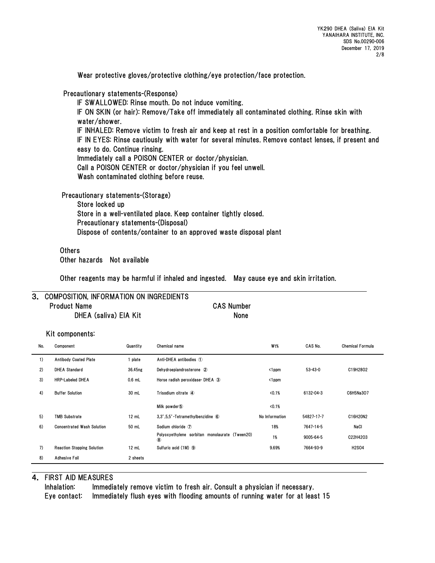Wear protective gloves/protective clothing/eye protection/face protection.

Precautionary statements-(Response)

IF SWALLOWED: Rinse mouth. Do not induce vomiting. IF ON SKIN (or hair): Remove/Take off immediately all contaminated clothing. Rinse skin with water/shower. IF INHALED: Remove victim to fresh air and keep at rest in a position comfortable for breathing. IF IN EYES: Rinse cautiously with water for several minutes. Remove contact lenses, if present and easy to do. Continue rinsing. Immediately call a POISON CENTER or doctor/physician. Call a POISON CENTER or doctor/physician if you feel unwell. Wash contaminated clothing before reuse.

Precautionary statements-(Storage)

Store locked up Store in a well-ventilated place. Keep container tightly closed. Precautionary statements-(Disposal) Dispose of contents/container to an approved waste disposal plant

**Others** Other hazards Not available

Other reagents may be harmful if inhaled and ingested. May cause eye and skin irritation.

### 3. COMPOSITION, INFORMATION ON INGREDIENTS Product Name CAS Number DHEA (saliva) EIA Kit None

#### Kit components:

| No. | Component                         | Quantity | Chemical name                                                 | W <sub>t</sub> % | CAS No.       | <b>Chemical Formula</b> |
|-----|-----------------------------------|----------|---------------------------------------------------------------|------------------|---------------|-------------------------|
| 1)  | <b>Antibody Coated Plate</b>      | plate    | Anti-DHEA antibodies 1                                        |                  |               |                         |
| 2)  | <b>DHEA Standard</b>              | 36.45ng  | Dehydroepiandrosterone 2                                      | <1ppm            | $53 - 43 - 0$ | C19H28O2                |
| 3)  | <b>HRP-Labeled DHEA</b>           | $0.6$ mL | Horse radish peroxidase-DHEA 3                                | <1ppm            |               |                         |
| 4)  | <b>Buffer Solution</b>            | 30 mL    | Trisodium citrate 4                                           | <0.1%            | 6132-04-3     | C6H5Na3O7               |
|     |                                   |          | Milk powder 5                                                 | <0.1%            |               |                         |
| 5)  | <b>TMB Substrate</b>              | 12 mL    | 3.3'.5.5'-Tetramethylbenzidine 6                              | No Information   | 54827-17-7    | C16H20N2                |
| 6)  | <b>Concentrated Wash Solution</b> | 50 mL    | Sodium chloride (7)                                           | 18%              | 7647-14-5     | NaCl                    |
|     |                                   |          | Polyoxyethylene sorbitan monolaurate (Tween20)<br>$\circledR$ | 1%               | 9005-64-5     | C22H42O3                |
| 7)  | <b>Reaction Stopping Solution</b> | 12 mL    | Sulfuric acid (1M) 9                                          | 9.69%            | 7664-93-9     | <b>H2SO4</b>            |
| 8)  | Adhesive Foil                     | 2 sheets |                                                               |                  |               |                         |

### 4. FIRST AID MEASURES

Inhalation: Immediately remove victim to fresh air. Consult a physician if necessary. Eye contact: Immediately flush eyes with flooding amounts of running water for at least 15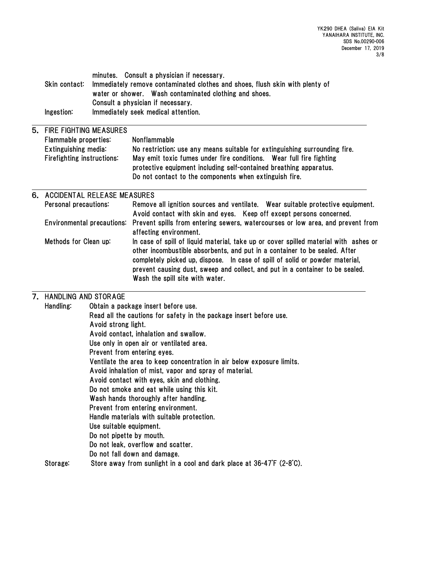| Skin contact:<br>Ingestion:       |  | minutes. Consult a physician if necessary.<br>Immediately remove contaminated clothes and shoes, flush skin with plenty of<br>water or shower. Wash contaminated clothing and shoes.<br>Consult a physician if necessary.<br>Immediately seek medical attention.                                                                                                       |
|-----------------------------------|--|------------------------------------------------------------------------------------------------------------------------------------------------------------------------------------------------------------------------------------------------------------------------------------------------------------------------------------------------------------------------|
| 5. FIRE FIGHTING MEASURES         |  |                                                                                                                                                                                                                                                                                                                                                                        |
| Flammable properties:             |  | Nonflammable                                                                                                                                                                                                                                                                                                                                                           |
| Extinguishing media:              |  | No restriction; use any means suitable for extinguishing surrounding fire.                                                                                                                                                                                                                                                                                             |
| Firefighting instructions:        |  | May emit toxic fumes under fire conditions. Wear full fire fighting                                                                                                                                                                                                                                                                                                    |
|                                   |  | protective equipment including self-contained breathing apparatus.                                                                                                                                                                                                                                                                                                     |
|                                   |  | Do not contact to the components when extinguish fire.                                                                                                                                                                                                                                                                                                                 |
| 6. ACCIDENTAL RELEASE MEASURES    |  |                                                                                                                                                                                                                                                                                                                                                                        |
| Personal precautions:             |  | Remove all ignition sources and ventilate. Wear suitable protective equipment.<br>Avoid contact with skin and eyes. Keep off except persons concerned.                                                                                                                                                                                                                 |
| <b>Environmental precautions:</b> |  | Prevent spills from entering sewers, watercourses or low area, and prevent from<br>affecting environment.                                                                                                                                                                                                                                                              |
| Methods for Clean up:             |  | In case of spill of liquid material, take up or cover spilled material with ashes or<br>other incombustible absorbents, and put in a container to be sealed. After<br>completely picked up, dispose. In case of spill of solid or powder material,<br>prevent causing dust, sweep and collect, and put in a container to be sealed.<br>Wash the spill site with water. |

### 7. HANDLING AND STORAGE

| Handling: | Obtain a package insert before use.                                    |
|-----------|------------------------------------------------------------------------|
|           | Read all the cautions for safety in the package insert before use.     |
|           | Avoid strong light.                                                    |
|           | Avoid contact, inhalation and swallow.                                 |
|           | Use only in open air or ventilated area.                               |
|           | Prevent from entering eyes.                                            |
|           | Ventilate the area to keep concentration in air below exposure limits. |
|           | Avoid inhalation of mist, vapor and spray of material.                 |
|           | Avoid contact with eyes, skin and clothing.                            |
|           | Do not smoke and eat while using this kit.                             |
|           | Wash hands thoroughly after handling.                                  |
|           | Prevent from entering environment.                                     |
|           | Handle materials with suitable protection.                             |
|           | Use suitable equipment.                                                |
|           | Do not pipette by mouth.                                               |
|           | Do not leak, overflow and scatter.                                     |
|           | Do not fall down and damage.                                           |
| Storage:  | Store away from sunlight in a cool and dark place at 36-47°F (2-8°C).  |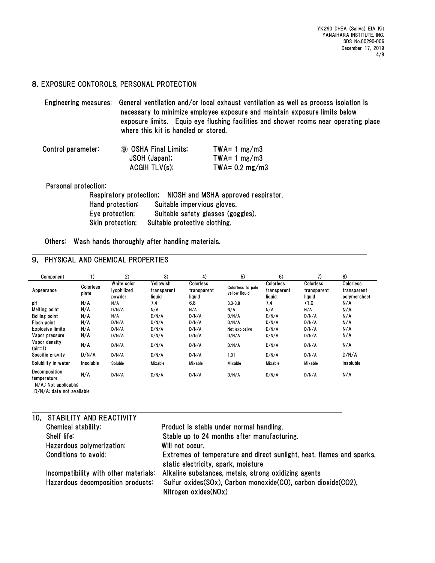# 8.EXPOSURE CONTOROLS, PERSONAL PROTECTION

| Engineering measures: General ventilation and/or local exhaust ventilation as well as process isolation is |  |  |  |
|------------------------------------------------------------------------------------------------------------|--|--|--|
| necessary to minimize employee exposure and maintain exposure limits below                                 |  |  |  |
| exposure limits. Equip eye flushing facilities and shower rooms near operating place                       |  |  |  |
| where this kit is handled or stored.                                                                       |  |  |  |

| Control parameter: | <b>9 OSHA Final Limits;</b> | $TWA = 1 mg/m3$      |
|--------------------|-----------------------------|----------------------|
|                    | JSOH (Japan);               | $TWA = 1 mg/m3$      |
|                    | ACGHTLV(s);                 | $TWA = 0.2$ mg/m $3$ |

Personal protection:

|                  | Respiratory protection; NIOSH and MSHA approved respirator. |
|------------------|-------------------------------------------------------------|
| Hand protection; | Suitable impervious gloves.                                 |
| Eye protection;  | Suitable safety glasses (goggles).                          |
| Skin protection; | Suitable protective clothing.                               |

Others: Wash hands thoroughly after handling materials.

### 9. PHYSICAL AND CHEMICAL PROPERTIES

| Component                                                                                                                       | 1)                        | 2)                                   | 3)                                 | 4)                                 | 5)                                 | 6)                                        | 7)                                        | 8)                                              |
|---------------------------------------------------------------------------------------------------------------------------------|---------------------------|--------------------------------------|------------------------------------|------------------------------------|------------------------------------|-------------------------------------------|-------------------------------------------|-------------------------------------------------|
| Appearance                                                                                                                      | <b>Colorless</b><br>plate | White color<br>lyophilized<br>powder | Yellowish<br>transparent<br>liquid | Colorless<br>transparent<br>liquid | Colorless to pale<br>yellow liquid | <b>Colorless</b><br>transparent<br>liquid | <b>Colorless</b><br>transparent<br>liquid | <b>Colorless</b><br>transparent<br>polymersheet |
| pH                                                                                                                              | N/A                       | N/A                                  | 7.4                                | 6.8                                | $3.3 - 3.8$                        | 7.4                                       | $\langle 1.0$                             | N/A                                             |
| Melting point                                                                                                                   | N/A                       | D/N/A                                | N/A                                | N/A                                | N/A                                | N/A                                       | N/A                                       | N/A                                             |
| <b>Boiling point</b>                                                                                                            | N/A                       | N/A                                  | D/N/A                              | D/N/A                              | D/N/A                              | D/N/A                                     | D/N/A                                     | N/A                                             |
| Flash point                                                                                                                     | N/A                       | D/N/A                                | D/N/A                              | D/N/A                              | D/N/A                              | D/N/A                                     | D/N/A                                     | N/A                                             |
| <b>Explosive limits</b>                                                                                                         | N/A                       | D/N/A                                | D/N/A                              | D/N/A                              | Not explosive                      | D/N/A                                     | D/N/A                                     | N/A                                             |
| Vapor pressure                                                                                                                  | N/A                       | D/N/A                                | D/N/A                              | D/N/A                              | D/N/A                              | D/N/A                                     | D/N/A                                     | N/A                                             |
| Vapor density<br>$(air=1)$                                                                                                      | N/A                       | D/N/A                                | D/N/A                              | D/N/A                              | D/N/A                              | D/N/A                                     | D/N/A                                     | N/A                                             |
| Specific gravity                                                                                                                | D/N/A                     | D/N/A                                | D/N/A                              | D/N/A                              | 1.01                               | D/N/A                                     | D/N/A                                     | D/N/A                                           |
| Solubility in water                                                                                                             | Insoluble                 | Soluble                              | Mixable                            | Mixable                            | Mixable                            | Mixable                                   | Mixable                                   | Insoluble                                       |
| Decomposition<br>temperature<br>$\mathbf{M}$ / A $\mathbf{A}$ M $\mathbf{A}$ and $\mathbf{A}$ and $\mathbf{B}$ and $\mathbf{B}$ | N/A                       | D/N/A                                | D/N/A                              | D/N/A                              | D/N/A                              | D/N/A                                     | D/N/A                                     | N/A                                             |

N/A.: Not applicable;

D/N/A: data not available

| 10. STABILITY AND REACTIVITY          |                                                                                                              |
|---------------------------------------|--------------------------------------------------------------------------------------------------------------|
| Chemical stability:                   | Product is stable under normal handling.                                                                     |
| Shelf life:                           | Stable up to 24 months after manufacturing.                                                                  |
| Hazardous polymerization:             | Will not occur.                                                                                              |
| Conditions to avoid:                  | Extremes of temperature and direct sunlight, heat, flames and sparks,<br>static electricity, spark, moisture |
| Incompatibility with other materials: | Alkaline substances, metals, strong oxidizing agents                                                         |
| Hazardous decomposition products:     | Sulfur oxides(SOx), Carbon monoxide(CO), carbon dioxide(CO2),<br>Nitrogen oxides (NO <sub>x</sub> )          |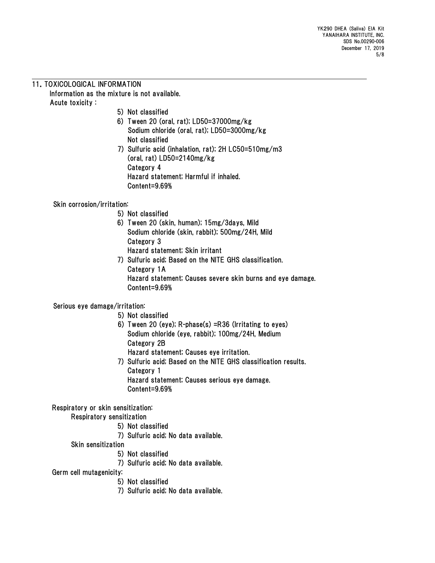### 11.TOXICOLOGICAL INFORMATION Information as the mixture is not available. Acute toxicity :

- 5) Not classified
- 6) Tween 20 (oral, rat); LD50=37000mg/kg Sodium chloride (oral, rat); LD50=3000mg/kg Not classified
- 7) Sulfuric acid (inhalation, rat); 2H LC50=510mg/m3 (oral, rat) LD50=2140mg/kg Category 4 Hazard statement; Harmful if inhaled. Content=9.69%

## Skin corrosion/irritation:

- 5) Not classified
- 6) Tween 20 (skin, human); 15mg/3days, Mild Sodium chloride (skin, rabbit); 500mg/24H, Mild Category 3 Hazard statement; Skin irritant
- 7) Sulfuric acid; Based on the NITE GHS classification. Category 1A Hazard statement; Causes severe skin burns and eye damage. Content=9.69%

# Serious eye damage/irritation:

- 5) Not classified
- 6) Tween 20 (eye); R-phase(s) =R36 (Irritating to eyes) Sodium chloride (eye, rabbit); 100mg/24H, Medium Category 2B Hazard statement; Causes eye irritation.
- 7) Sulfuric acid; Based on the NITE GHS classification results. Category 1 Hazard statement; Causes serious eye damage. Content=9.69%

# Respiratory or skin sensitization:

Respiratory sensitization

- 5) Not classified
- 7) Sulfuric acid; No data available.
- Skin sensitization
	- 5) Not classified
	- 7) Sulfuric acid; No data available.

Germ cell mutagenicity:

- 5) Not classified
- 7) Sulfuric acid; No data available.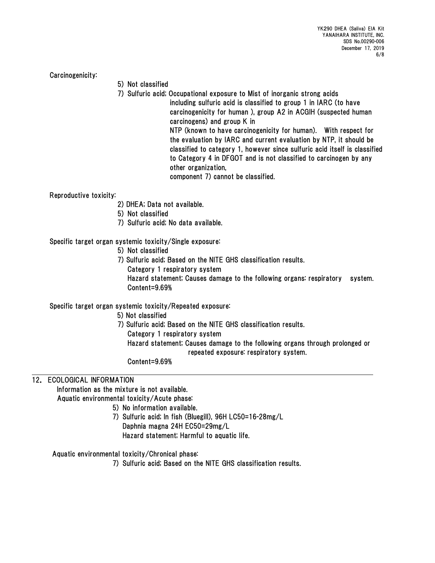YK290 DHEA (Saliva) EIA Kit YANAIHARA INSTITUTE, INC. SDS No.00290-006 December 17, 2019 6/8

Carcinogenicity:

- 5) Not classified
- 7) Sulfuric acid; Occupational exposure to Mist of inorganic strong acids

including sulfuric acid is classified to group 1 in IARC (to have carcinogenicity for human ), group A2 in ACGIH (suspected human carcinogens) and group K in NTP (known to have carcinogenicity for human). With respect for

the evaluation by IARC and current evaluation by NTP, it should be classified to category 1, however since sulfuric acid itself is classified to Category 4 in DFGOT and is not classified to carcinogen by any other organization,

component 7) cannot be classified.

Reproductive toxicity:

- 2) DHEA; Data not available.
- 5) Not classified
- 7) Sulfuric acid; No data available.

### Specific target organ systemic toxicity/Single exposure:

- 5) Not classified
- 7) Sulfuric acid; Based on the NITE GHS classification results.

Category 1 respiratory system Hazard statement; Causes damage to the following organs: respiratory system. Content=9.69%

### Specific target organ systemic toxicity/Repeated exposure:

5) Not classified

- 7) Sulfuric acid; Based on the NITE GHS classification results.
	- Category 1 respiratory system

 Hazard statement; Causes damage to the following organs through prolonged or repeated exposure: respiratory system.

Content=9.69%

## 12. ECOLOGICAL INFORMATION

Information as the mixture is not available.

Aquatic environmental toxicity/Acute phase:

- 5) No information available.
	- 7) Sulfuric acid; In fish (Bluegill), 96H LC50=16-28mg/L Daphnia magna 24H EC50=29mg/L Hazard statement; Harmful to aquatic life.

Aquatic environmental toxicity/Chronical phase:

7) Sulfuric acid; Based on the NITE GHS classification results.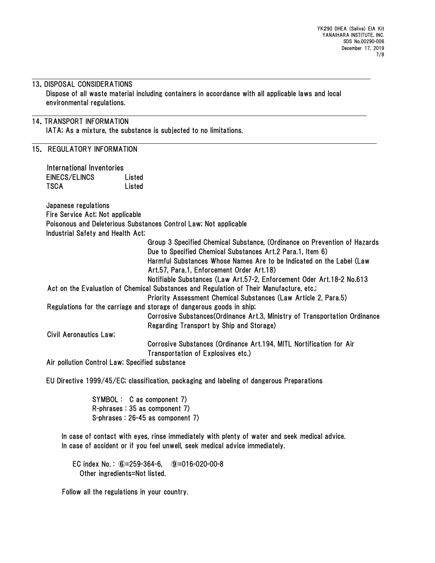#### 13.DISPOSAL CONSIDERATIONS

Dispose of all waste material including containers in accordance with all applicable laws and local environmental regulations.

### 14.TRANSPORT INFORMATION

IATA; As a mixture, the substance is subjected to no limitations.

### 15. REGULATORY INFORMATION

| International Inventories                      |                                                                                         |
|------------------------------------------------|-----------------------------------------------------------------------------------------|
| EINECS/ELINCS                                  | Listed                                                                                  |
| <b>TSCA</b>                                    | Listed                                                                                  |
|                                                |                                                                                         |
| Japanese regulations                           |                                                                                         |
| Fire Service Act; Not applicable               |                                                                                         |
|                                                | Poisonous and Deleterious Substances Control Law; Not applicable                        |
| Industrial Safety and Health Act;              |                                                                                         |
|                                                | Group 3 Specified Chemical Substance, (Ordinance on Prevention of Hazards               |
|                                                | Due to Specified Chemical Substances Art.2 Para.1, Item 6)                              |
|                                                | Harmful Substances Whose Names Are to be Indicated on the Label (Law                    |
|                                                | Art.57, Para.1, Enforcement Order Art.18)                                               |
|                                                | Notifiable Substances (Law Art.57-2, Enforcement Oder Art.18-2 No.613                   |
|                                                | Act on the Evaluation of Chemical Substances and Regulation of Their Manufacture, etc.; |
|                                                | Priority Assessment Chemical Substances (Law Article 2, Para.5)                         |
|                                                | Regulations for the carriage and storage of dangerous goods in ship;                    |
|                                                | Corrosive Substances (Ordinance Art.3, Ministry of Transportation Ordinance             |
|                                                | Regarding Transport by Ship and Storage)                                                |
| <b>Civil Aeronautics Law;</b>                  |                                                                                         |
|                                                |                                                                                         |
|                                                | Corrosive Substances (Ordinance Art.194, MITL Nortification for Air                     |
|                                                | Transportation of Explosives etc.)                                                      |
| Air nellution Control Low: Cneetfied oubotones |                                                                                         |

Air pollution Control Law; Specified substance

EU Directive 1999/45/EC; classification, packaging and labeling of dangerous Preparations

SYMBOL : C as component 7) R-phrases : 35 as component 7) S-phrases : 26-45 as component 7)

In case of contact with eyes, rinse immediately with plenty of water and seek medical advice. In case of accident or if you feel unwell, seek medical advice immediately.

EC index No. : ⑥=259-364-6, ⑨=016-020-00-8 Other ingredients=Not listed.

Follow all the regulations in your country.